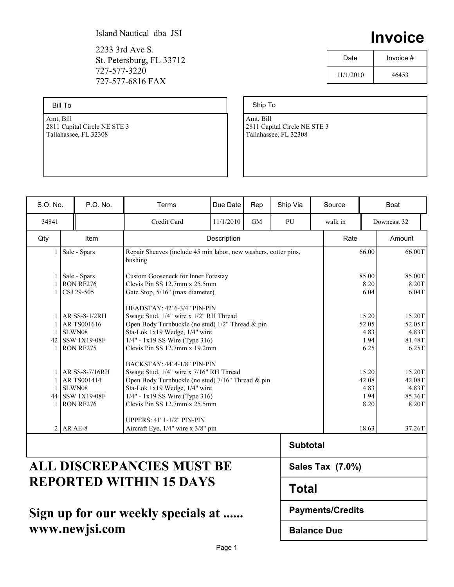2233 3rd Ave S. St. Petersburg, FL 33712 727-577-3220 727-577-6816 FAX

Bill To

Amt, Bill 2811 Capital Circle NE STE 3 Tallahassee, FL 32308

| Date      | Invoice # |
|-----------|-----------|
| 11/1/2010 | 46453     |

**Invoice**

Ship To

Amt, Bill 2811 Capital Circle NE STE 3 Tallahassee, FL 32308

| S.O. No.                         | P.O. No.                                                                             | Terms                             | Due Date                                                                                                                                                                                                                                 | Rep          | Ship Via        | Source  |                | <b>Boat</b>                                  |  |
|----------------------------------|--------------------------------------------------------------------------------------|-----------------------------------|------------------------------------------------------------------------------------------------------------------------------------------------------------------------------------------------------------------------------------------|--------------|-----------------|---------|----------------|----------------------------------------------|--|
| 34841                            |                                                                                      | Credit Card                       | 11/1/2010                                                                                                                                                                                                                                | <b>GM</b>    | PU              | walk in |                | Downeast 32                                  |  |
| Qty                              | Item                                                                                 |                                   | Description                                                                                                                                                                                                                              |              |                 |         | Rate<br>Amount |                                              |  |
| $\mathbf{1}$                     | Sale - Spars                                                                         | bushing                           | Repair Sheaves (include 45 min labor, new washers, cotter pins,                                                                                                                                                                          |              |                 |         |                | 66.00T                                       |  |
|                                  | Sale - Spars<br>RON RF276<br>CSJ 29-505                                              |                                   | <b>Custom Gooseneck for Inner Forestay</b><br>Clevis Pin SS $12.7$ mm x $25.5$ mm<br>Gate Stop, 5/16" (max diameter)                                                                                                                     |              |                 |         |                |                                              |  |
|                                  | AR SS-8-1/2RH<br>AR TS001616<br>SLWN08<br>42 SSW 1X19-08F<br>RON RF275               |                                   | HEADSTAY: 42' 6-3/4" PIN-PIN<br>Swage Stud, 1/4" wire x 1/2" RH Thread<br>Open Body Turnbuckle (no stud) 1/2" Thread & pin<br>Sta-Lok 1x19 Wedge, 1/4" wire<br>$1/4" - 1x19$ SS Wire (Type 316)<br>Clevis Pin SS $12.7$ mm x $19.2$ mm   |              |                 |         |                | 15.20T<br>52.05T<br>4.83T<br>81.48T<br>6.25T |  |
| 1<br>-1                          | <b>AR SS-8-7/16RH</b><br><b>ARTS001414</b><br>SLWN08<br>44 SSW 1X19-08F<br>RON RF276 |                                   | BACKSTAY: 44' 4-1/8" PIN-PIN<br>Swage Stud, 1/4" wire x 7/16" RH Thread<br>Open Body Turnbuckle (no stud) 7/16" Thread & pin<br>Sta-Lok 1x19 Wedge, 1/4" wire<br>$1/4" - 1x19$ SS Wire (Type 316)<br>Clevis Pin SS $12.7$ mm x $25.5$ mm |              |                 |         |                | 15.20T<br>42.08T<br>4.83T<br>85.36T<br>8.20T |  |
|                                  | $2$ AR AE-8                                                                          | <b>UPPERS: 41' 1-1/2" PIN-PIN</b> | Aircraft Eye, 1/4" wire x 3/8" pin                                                                                                                                                                                                       |              |                 |         |                | 37.26T                                       |  |
|                                  |                                                                                      |                                   |                                                                                                                                                                                                                                          |              | <b>Subtotal</b> |         |                |                                              |  |
| <b>ALL DISCREPANCIES MUST BE</b> |                                                                                      |                                   | Sales Tax (7.0%)                                                                                                                                                                                                                         |              |                 |         |                |                                              |  |
| <b>REPORTED WITHIN 15 DAYS</b>   |                                                                                      |                                   |                                                                                                                                                                                                                                          | <b>Total</b> |                 |         |                |                                              |  |

# **Sign up for our weekly specials at ...... www.newjsi.com**

Page 1

**Payments/Credits**

**Balance Due**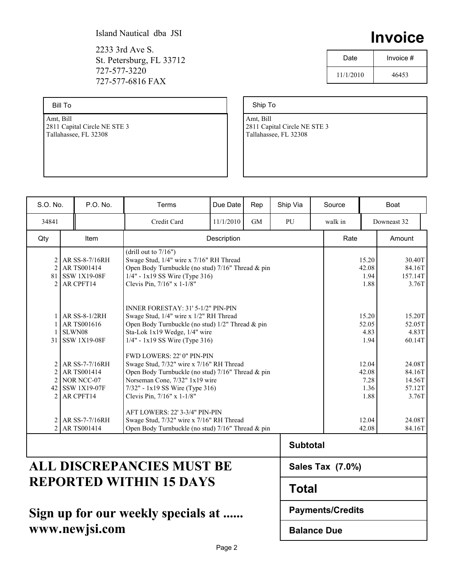2233 3rd Ave S. St. Petersburg, FL 33712 727-577-3220 727-577-6816 FAX

Bill To

Amt, Bill 2811 Capital Circle NE STE 3 Tallahassee, FL 32308

|      | II I V U I UG |  |           |  |
|------|---------------|--|-----------|--|
| Date |               |  | Invoice # |  |

11/1/2010 46453

### Ship To

Amt, Bill 2811 Capital Circle NE STE 3 Tallahassee, FL 32308

| S.O. No.                                                                                                 | P.O. No.                                                                          | Terms                                                | Due Date                                                                                                                                                                                         | Rep                     | Ship Via                |  | Source  |                                        | Boat                                          |
|----------------------------------------------------------------------------------------------------------|-----------------------------------------------------------------------------------|------------------------------------------------------|--------------------------------------------------------------------------------------------------------------------------------------------------------------------------------------------------|-------------------------|-------------------------|--|---------|----------------------------------------|-----------------------------------------------|
| 34841                                                                                                    |                                                                                   | Credit Card                                          | 11/1/2010                                                                                                                                                                                        | <b>GM</b>               | PU                      |  | walk in | Downeast 32                            |                                               |
| Qty                                                                                                      | <b>Item</b>                                                                       |                                                      | Description                                                                                                                                                                                      |                         |                         |  | Rate    | Amount                                 |                                               |
| 2<br>$\mathfrak{D}$                                                                                      | <b>AR SS-8-7/16RH</b><br>AR TS001414<br>81 SSW 1X19-08F<br>$2$ AR CPFT14          | (drill out to $7/16$ )<br>Clevis Pin, 7/16" x 1-1/8" | Swage Stud, 1/4" wire x 7/16" RH Thread<br>Open Body Turnbuckle (no stud) 7/16" Thread & pin<br>$1/4" - 1x19$ SS Wire (Type 316)                                                                 |                         |                         |  |         | 15.20<br>42.08<br>1.94<br>1.88         | 30.40T<br>84.16T<br>157.14T<br>3.76T          |
|                                                                                                          | AR SS-8-1/2RH<br>AR TS001616<br>SLWN08<br>31 SSW 1X19-08F                         | Sta-Lok 1x19 Wedge, 1/4" wire                        | <b>INNER FORESTAY: 31' 5-1/2" PIN-PIN</b><br>Swage Stud, 1/4" wire x 1/2" RH Thread<br>Open Body Turnbuckle (no stud) 1/2" Thread & pin<br>$1/4" - 1x19$ SS Wire (Type 316)                      |                         |                         |  |         |                                        | 15.20T<br>52.05T<br>4.83T<br>60.14T           |
| $\overline{c}$<br>$\mathfrak{D}$                                                                         | AR SS-7-7/16RH<br><b>ARTS001414</b><br>NOR NCC-07<br>42 SSW 1X19-07F<br>AR CPFT14 | Clevis Pin, 7/16" x 1-1/8"                           | FWD LOWERS: 22' 0" PIN-PIN<br>Swage Stud, 7/32" wire x 7/16" RH Thread<br>Open Body Turnbuckle (no stud) 7/16" Thread & pin<br>Norseman Cone, 7/32" 1x19 wire<br>7/32" - 1x19 SS Wire (Type 316) |                         |                         |  |         | 12.04<br>42.08<br>7.28<br>1.36<br>1.88 | 24.08T<br>84.16T<br>14.56T<br>57.12T<br>3.76T |
|                                                                                                          | 2 AR SS-7-7/16RH<br>2 AR TS001414                                                 |                                                      | AFT LOWERS: 22' 3-3/4" PIN-PIN<br>Swage Stud, 7/32" wire x 7/16" RH Thread<br>Open Body Turnbuckle (no stud) 7/16" Thread & pin                                                                  |                         |                         |  |         | 12.04<br>42.08                         | 24.08T<br>84.16T                              |
| <b>ALL DISCREPANCIES MUST BE</b><br><b>REPORTED WITHIN 15 DAYS</b><br>Sign un for our weekly snecials at |                                                                                   |                                                      | <b>Subtotal</b>                                                                                                                                                                                  |                         | <b>Sales Tax (7.0%)</b> |  |         |                                        |                                               |
|                                                                                                          |                                                                                   |                                                      | <b>Total</b>                                                                                                                                                                                     |                         |                         |  |         |                                        |                                               |
|                                                                                                          |                                                                                   |                                                      |                                                                                                                                                                                                  | <b>Payments/Credits</b> |                         |  |         |                                        |                                               |

## **Sign up for our weekly specials at ...... www.newjsi.com**

**Balance Due**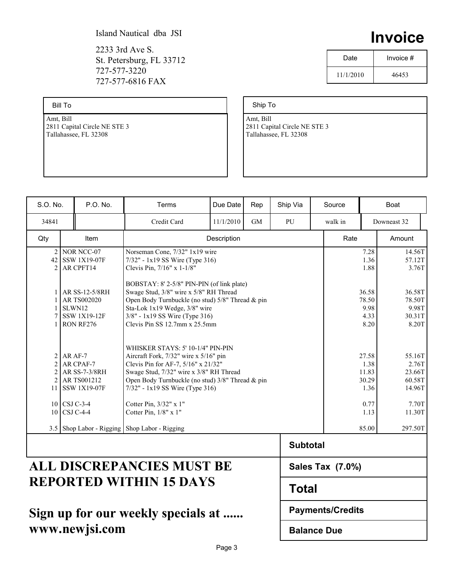2233 3rd Ave S. St. Petersburg, FL 33712 727-577-3220 727-577-6816 FAX

Bill To

Amt, Bill 2811 Capital Circle NE STE 3 Tallahassee, FL 32308

|      | .         |
|------|-----------|
| Date | Invoice # |
|      |           |

**Invoice**

11/1/2010 46453

Ship To

Amt, Bill 2811 Capital Circle NE STE 3 Tallahassee, FL 32308

| S.O. No.                                                             | P.O. No.                                                                    | Terms                                                                                           | Due Date                                                                                                                                                                                                                                               | Rep          | Ship Via         |  | Source  |                                         | Boat                                          |
|----------------------------------------------------------------------|-----------------------------------------------------------------------------|-------------------------------------------------------------------------------------------------|--------------------------------------------------------------------------------------------------------------------------------------------------------------------------------------------------------------------------------------------------------|--------------|------------------|--|---------|-----------------------------------------|-----------------------------------------------|
| 34841                                                                |                                                                             | Credit Card                                                                                     | 11/1/2010                                                                                                                                                                                                                                              | <b>GM</b>    | PU               |  | walk in |                                         | Downeast 32                                   |
| Qty                                                                  | <b>Item</b>                                                                 | Description                                                                                     |                                                                                                                                                                                                                                                        |              |                  |  | Rate    |                                         | Amount                                        |
| $\overline{2}$<br>$\mathfrak{D}$                                     | NOR NCC-07<br>42 SSW 1X19-07F<br>AR CPFT14                                  | Norseman Cone, 7/32" 1x19 wire<br>7/32" - 1x19 SS Wire (Type 316)<br>Clevis Pin. 7/16" x 1-1/8" |                                                                                                                                                                                                                                                        |              |                  |  |         | 7.28<br>1.36<br>1.88                    | 14.56T<br>57.12T<br>3.76T                     |
| 7                                                                    | AR SS-12-5/8RH<br>AR TS002020<br>SLWN12<br><b>SSW 1X19-12F</b><br>RON RF276 |                                                                                                 | BOBSTAY: 8' 2-5/8" PIN-PIN (of link plate)<br>Swage Stud, 3/8" wire x 5/8" RH Thread<br>Open Body Turnbuckle (no stud) 5/8" Thread & pin<br>Sta-Lok 1x19 Wedge, 3/8" wire<br>3/8" - 1x19 SS Wire (Type 316)<br>Clevis Pin SS $12.7$ mm x $25.5$ mm     |              |                  |  |         | 36.58<br>78.50<br>9.98<br>4.33<br>8.20  | 36.58T<br>78.50T<br>9.98T<br>30.31T<br>8.20T  |
| $\overline{c}$<br>$\mathfrak{D}$<br>$\overline{c}$<br>$\mathfrak{D}$ | AR AF-7<br>AR CPAF-7<br>AR SS-7-3/8RH<br>AR TS001212<br>11 SSW 1X19-07F     |                                                                                                 | WHISKER STAYS: 5' 10-1/4" PIN-PIN<br>Aircraft Fork, 7/32" wire x 5/16" pin<br>Clevis Pin for AF-7, 5/16" x 21/32"<br>Swage Stud, 7/32" wire x 3/8" RH Thread<br>Open Body Turnbuckle (no stud) 3/8" Thread & pin<br>$7/32$ " - 1x19 SS Wire (Type 316) |              |                  |  |         | 27.58<br>1.38<br>11.83<br>30.29<br>1.36 | 55.16T<br>2.76T<br>23.66T<br>60.58T<br>14.96T |
|                                                                      | 10 CSJ C-3-4<br>10 CSJ C-4-4                                                | Cotter Pin, 3/32" x 1"<br>Cotter Pin, 1/8" x 1"                                                 |                                                                                                                                                                                                                                                        |              |                  |  |         | 0.77<br>1.13                            | 7.70T<br>11.30T                               |
|                                                                      | 3.5 Shop Labor - Rigging Shop Labor - Rigging                               |                                                                                                 |                                                                                                                                                                                                                                                        |              |                  |  |         | 85.00                                   | 297.50T                                       |
|                                                                      |                                                                             |                                                                                                 |                                                                                                                                                                                                                                                        |              | <b>Subtotal</b>  |  |         |                                         |                                               |
| ALL DISCREPANCIES MUST BE                                            |                                                                             |                                                                                                 |                                                                                                                                                                                                                                                        |              | Sales Tax (7.0%) |  |         |                                         |                                               |
| <b>REPORTED WITHIN 15 DAYS</b>                                       |                                                                             |                                                                                                 |                                                                                                                                                                                                                                                        | <b>Total</b> |                  |  |         |                                         |                                               |

# **Sign up for our weekly specials at ...... www.newjsi.com**

**Balance Due**

**Payments/Credits**